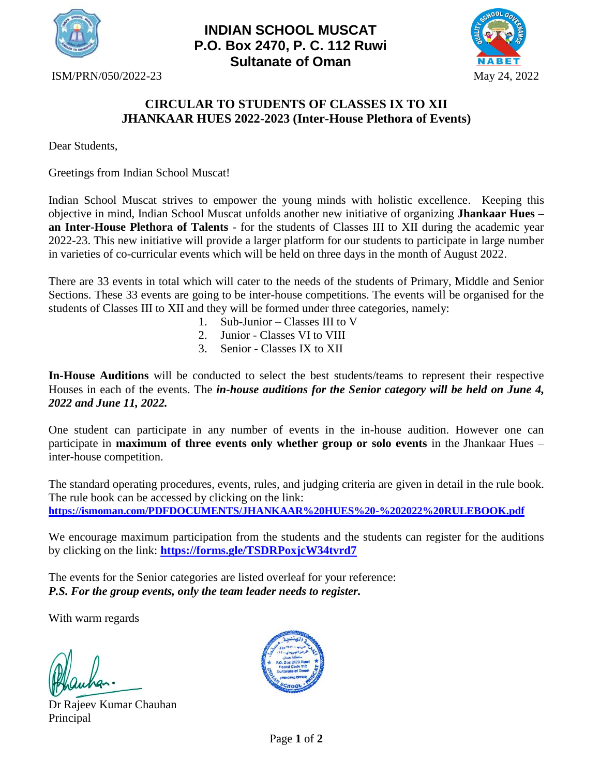

## **INDIAN SCHOOL MUSCAT P.O. Box 2470, P. C. 112 Ruwi Sultanate of Oman**



ISM/PRN/050/2022-23 May 24, 2022

## **CIRCULAR TO STUDENTS OF CLASSES IX TO XII JHANKAAR HUES 2022-2023 (Inter-House Plethora of Events)**

Dear Students,

Greetings from Indian School Muscat!

Indian School Muscat strives to empower the young minds with holistic excellence. Keeping this objective in mind, Indian School Muscat unfolds another new initiative of organizing **Jhankaar Hues – an Inter-House Plethora of Talents** - for the students of Classes III to XII during the academic year 2022-23. This new initiative will provide a larger platform for our students to participate in large number in varieties of co-curricular events which will be held on three days in the month of August 2022.

There are 33 events in total which will cater to the needs of the students of Primary, Middle and Senior Sections. These 33 events are going to be inter-house competitions. The events will be organised for the students of Classes III to XII and they will be formed under three categories, namely:

- 1. Sub-Junior Classes III to V
- 2. Junior Classes VI to VIII
- 3. Senior Classes IX to XII

**In-House Auditions** will be conducted to select the best students/teams to represent their respective Houses in each of the events. The *in-house auditions for the Senior category will be held on June 4, 2022 and June 11, 2022.*

One student can participate in any number of events in the in-house audition. However one can participate in **maximum of three events only whether group or solo events** in the Jhankaar Hues – inter-house competition.

The standard operating procedures, events, rules, and judging criteria are given in detail in the rule book. The rule book can be accessed by clicking on the link: **<https://ismoman.com/PDFDOCUMENTS/JHANKAAR%20HUES%20-%202022%20RULEBOOK.pdf>**

We encourage maximum participation from the students and the students can register for the auditions by clicking on the link: **<https://forms.gle/TSDRPoxjcW34tvrd7>**

The events for the Senior categories are listed overleaf for your reference: *P.S. For the group events, only the team leader needs to register.*

With warm regards

İ,

Dr Rajeev Kumar Chauhan Principal